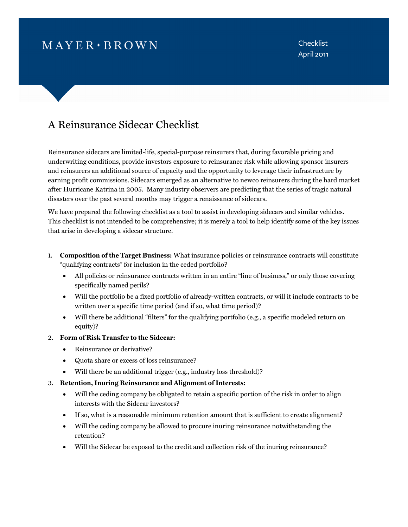# $MAYER \cdot BROWN$

**Checklist** April 2011

## A Reinsurance Sidecar Checklist

Reinsurance sidecars are limited-life, special-purpose reinsurers that, during favorable pricing and underwriting conditions, provide investors exposure to reinsurance risk while allowing sponsor insurers and reinsurers an additional source of capacity and the opportunity to leverage their infrastructure by earning profit commissions. Sidecars emerged as an alternative to newco reinsurers during the hard market after Hurricane Katrina in 2005. Many industry observers are predicting that the series of tragic natural disasters over the past several months may trigger a renaissance of sidecars.

We have prepared the following checklist as a tool to assist in developing sidecars and similar vehicles. This checklist is not intended to be comprehensive; it is merely a tool to help identify some of the key issues that arise in developing a sidecar structure.

- 1. **Composition of the Target Business:** What insurance policies or reinsurance contracts will constitute "qualifying contracts" for inclusion in the ceded portfolio?
	- All policies or reinsurance contracts written in an entire "line of business," or only those covering specifically named perils?
	- Will the portfolio be a fixed portfolio of already-written contracts, or will it include contracts to be written over a specific time period (and if so, what time period)?
	- Will there be additional "filters" for the qualifying portfolio (e.g., a specific modeled return on equity)?
- 2. **Form of Risk Transfer to the Sidecar:**
	- Reinsurance or derivative?
	- Quota share or excess of loss reinsurance?
	- Will there be an additional trigger (e.g., industry loss threshold)?
- 3. **Retention, Inuring Reinsurance and Alignment of Interests:**
	- Will the ceding company be obligated to retain a specific portion of the risk in order to align interests with the Sidecar investors?
	- If so, what is a reasonable minimum retention amount that is sufficient to create alignment?
	- Will the ceding company be allowed to procure inuring reinsurance notwithstanding the retention?
	- Will the Sidecar be exposed to the credit and collection risk of the inuring reinsurance?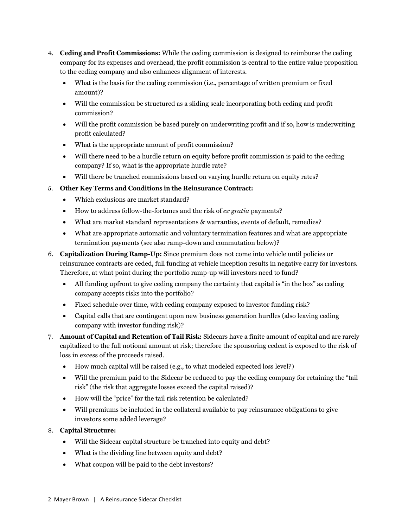- 4. **Ceding and Profit Commissions:** While the ceding commission is designed to reimburse the ceding company for its expenses and overhead, the profit commission is central to the entire value proposition to the ceding company and also enhances alignment of interests.
	- What is the basis for the ceding commission (i.e., percentage of written premium or fixed amount)?
	- Will the commission be structured as a sliding scale incorporating both ceding and profit commission?
	- Will the profit commission be based purely on underwriting profit and if so, how is underwriting profit calculated?
	- What is the appropriate amount of profit commission?
	- Will there need to be a hurdle return on equity before profit commission is paid to the ceding company? If so, what is the appropriate hurdle rate?
	- Will there be tranched commissions based on varying hurdle return on equity rates?
- 5. **Other Key Terms and Conditions in the Reinsurance Contract:**
	- Which exclusions are market standard?
	- How to address follow-the-fortunes and the risk of *ex gratia* payments?
	- What are market standard representations & warranties, events of default, remedies?
	- What are appropriate automatic and voluntary termination features and what are appropriate termination payments (see also ramp-down and commutation below)?
- 6. **Capitalization During Ramp-Up:** Since premium does not come into vehicle until policies or reinsurance contracts are ceded, full funding at vehicle inception results in negative carry for investors. Therefore, at what point during the portfolio ramp-up will investors need to fund?
	- All funding upfront to give ceding company the certainty that capital is "in the box" as ceding company accepts risks into the portfolio?
	- Fixed schedule over time, with ceding company exposed to investor funding risk?
	- Capital calls that are contingent upon new business generation hurdles (also leaving ceding company with investor funding risk)?
- 7. **Amount of Capital and Retention of Tail Risk:** Sidecars have a finite amount of capital and are rarely capitalized to the full notional amount at risk; therefore the sponsoring cedent is exposed to the risk of loss in excess of the proceeds raised.
	- How much capital will be raised (e.g., to what modeled expected loss level?)
	- Will the premium paid to the Sidecar be reduced to pay the ceding company for retaining the "tail risk" (the risk that aggregate losses exceed the capital raised)?
	- How will the "price" for the tail risk retention be calculated?
	- Will premiums be included in the collateral available to pay reinsurance obligations to give investors some added leverage?
- 8. **Capital Structure:**
	- Will the Sidecar capital structure be tranched into equity and debt?
	- What is the dividing line between equity and debt?
	- What coupon will be paid to the debt investors?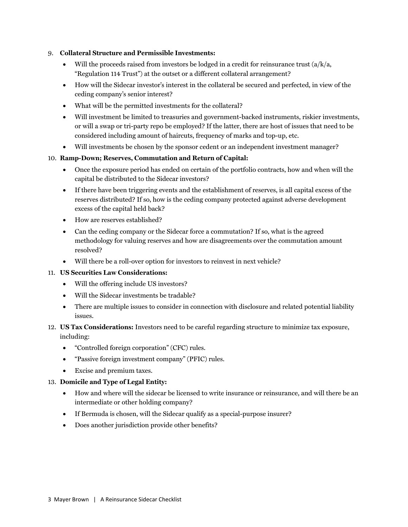#### 9. **Collateral Structure and Permissible Investments:**

- Will the proceeds raised from investors be lodged in a credit for reinsurance trust  $(a/k/a,$ "Regulation 114 Trust") at the outset or a different collateral arrangement?
- How will the Sidecar investor's interest in the collateral be secured and perfected, in view of the ceding company's senior interest?
- What will be the permitted investments for the collateral?
- Will investment be limited to treasuries and government-backed instruments, riskier investments, or will a swap or tri-party repo be employed? If the latter, there are host of issues that need to be considered including amount of haircuts, frequency of marks and top-up, etc.
- Will investments be chosen by the sponsor cedent or an independent investment manager?

### 10. **Ramp-Down; Reserves, Commutation and Return of Capital:**

- Once the exposure period has ended on certain of the portfolio contracts, how and when will the capital be distributed to the Sidecar investors?
- If there have been triggering events and the establishment of reserves, is all capital excess of the reserves distributed? If so, how is the ceding company protected against adverse development excess of the capital held back?
- How are reserves established?
- Can the ceding company or the Sidecar force a commutation? If so, what is the agreed methodology for valuing reserves and how are disagreements over the commutation amount resolved?
- Will there be a roll-over option for investors to reinvest in next vehicle?

#### 11. **US Securities Law Considerations:**

- Will the offering include US investors?
- Will the Sidecar investments be tradable?
- There are multiple issues to consider in connection with disclosure and related potential liability issues.

### 12. **US Tax Considerations:** Investors need to be careful regarding structure to minimize tax exposure, including:

- "Controlled foreign corporation" (CFC) rules.
- "Passive foreign investment company" (PFIC) rules.
- Excise and premium taxes.

#### 13. **Domicile and Type of Legal Entity:**

- How and where will the sidecar be licensed to write insurance or reinsurance, and will there be an intermediate or other holding company?
- If Bermuda is chosen, will the Sidecar qualify as a special-purpose insurer?
- Does another jurisdiction provide other benefits?